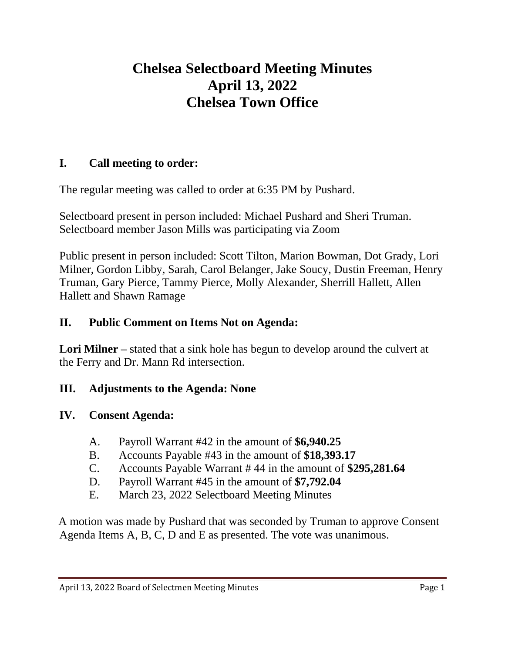# **Chelsea Selectboard Meeting Minutes April 13, 2022 Chelsea Town Office**

# **I. Call meeting to order:**

The regular meeting was called to order at 6:35 PM by Pushard.

Selectboard present in person included: Michael Pushard and Sheri Truman. Selectboard member Jason Mills was participating via Zoom

Public present in person included: Scott Tilton, Marion Bowman, Dot Grady, Lori Milner, Gordon Libby, Sarah, Carol Belanger, Jake Soucy, Dustin Freeman, Henry Truman, Gary Pierce, Tammy Pierce, Molly Alexander, Sherrill Hallett, Allen Hallett and Shawn Ramage

#### **II. Public Comment on Items Not on Agenda:**

**Lori Milner –** stated that a sink hole has begun to develop around the culvert at the Ferry and Dr. Mann Rd intersection.

# **III. Adjustments to the Agenda: None**

# **IV. Consent Agenda:**

- A. Payroll Warrant #42 in the amount of **\$6,940.25**
- B. Accounts Payable #43 in the amount of **\$18,393.17**
- C. Accounts Payable Warrant # 44 in the amount of **\$295,281.64**
- D. Payroll Warrant #45 in the amount of **\$7,792.04**
- E. March 23, 2022 Selectboard Meeting Minutes

A motion was made by Pushard that was seconded by Truman to approve Consent Agenda Items A, B, C, D and E as presented. The vote was unanimous.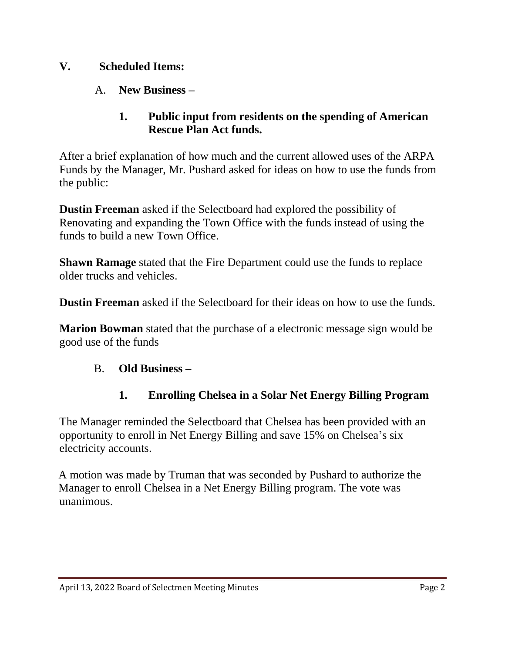#### **V. Scheduled Items:**

A. **New Business –**

#### **1. Public input from residents on the spending of American Rescue Plan Act funds.**

After a brief explanation of how much and the current allowed uses of the ARPA Funds by the Manager, Mr. Pushard asked for ideas on how to use the funds from the public:

**Dustin Freeman** asked if the Selectboard had explored the possibility of Renovating and expanding the Town Office with the funds instead of using the funds to build a new Town Office.

**Shawn Ramage** stated that the Fire Department could use the funds to replace older trucks and vehicles.

**Dustin Freeman** asked if the Selectboard for their ideas on how to use the funds.

**Marion Bowman** stated that the purchase of a electronic message sign would be good use of the funds

#### B. **Old Business –**

#### **1. Enrolling Chelsea in a Solar Net Energy Billing Program**

The Manager reminded the Selectboard that Chelsea has been provided with an opportunity to enroll in Net Energy Billing and save 15% on Chelsea's six electricity accounts.

A motion was made by Truman that was seconded by Pushard to authorize the Manager to enroll Chelsea in a Net Energy Billing program. The vote was unanimous.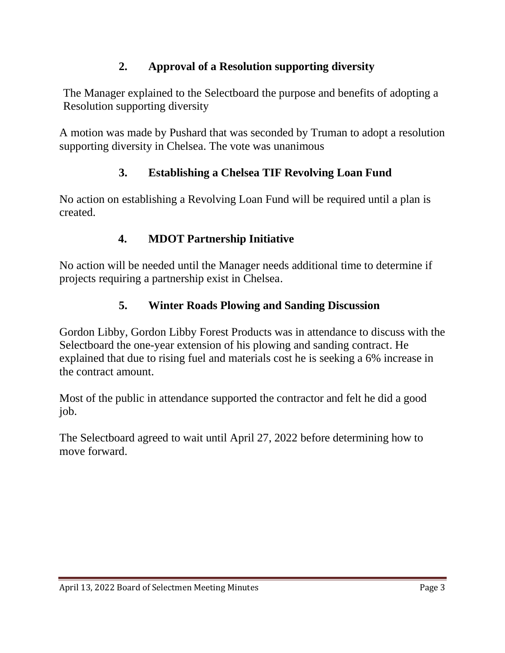# **2. Approval of a Resolution supporting diversity**

The Manager explained to the Selectboard the purpose and benefits of adopting a Resolution supporting diversity

A motion was made by Pushard that was seconded by Truman to adopt a resolution supporting diversity in Chelsea. The vote was unanimous

# **3. Establishing a Chelsea TIF Revolving Loan Fund**

No action on establishing a Revolving Loan Fund will be required until a plan is created.

# **4. MDOT Partnership Initiative**

No action will be needed until the Manager needs additional time to determine if projects requiring a partnership exist in Chelsea.

# **5. Winter Roads Plowing and Sanding Discussion**

Gordon Libby, Gordon Libby Forest Products was in attendance to discuss with the Selectboard the one-year extension of his plowing and sanding contract. He explained that due to rising fuel and materials cost he is seeking a 6% increase in the contract amount.

Most of the public in attendance supported the contractor and felt he did a good job.

The Selectboard agreed to wait until April 27, 2022 before determining how to move forward.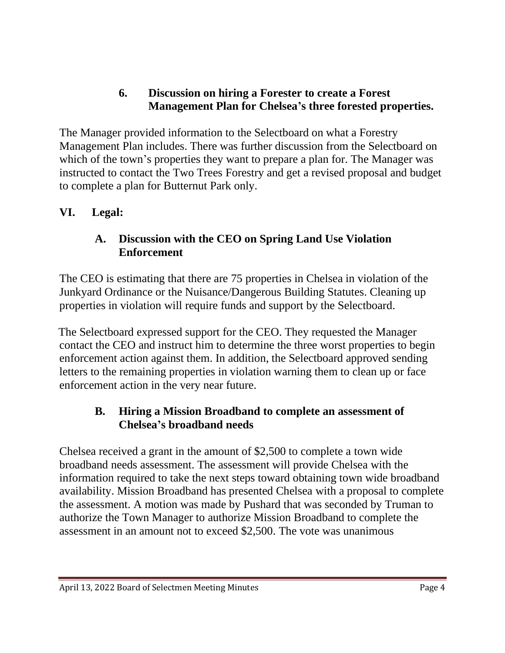# **6. Discussion on hiring a Forester to create a Forest Management Plan for Chelsea's three forested properties.**

The Manager provided information to the Selectboard on what a Forestry Management Plan includes. There was further discussion from the Selectboard on which of the town's properties they want to prepare a plan for. The Manager was instructed to contact the Two Trees Forestry and get a revised proposal and budget to complete a plan for Butternut Park only.

#### **VI. Legal:**

#### **A. Discussion with the CEO on Spring Land Use Violation Enforcement**

The CEO is estimating that there are 75 properties in Chelsea in violation of the Junkyard Ordinance or the Nuisance/Dangerous Building Statutes. Cleaning up properties in violation will require funds and support by the Selectboard.

The Selectboard expressed support for the CEO. They requested the Manager contact the CEO and instruct him to determine the three worst properties to begin enforcement action against them. In addition, the Selectboard approved sending letters to the remaining properties in violation warning them to clean up or face enforcement action in the very near future.

#### **B. Hiring a Mission Broadband to complete an assessment of Chelsea's broadband needs**

Chelsea received a grant in the amount of \$2,500 to complete a town wide broadband needs assessment. The assessment will provide Chelsea with the information required to take the next steps toward obtaining town wide broadband availability. Mission Broadband has presented Chelsea with a proposal to complete the assessment. A motion was made by Pushard that was seconded by Truman to authorize the Town Manager to authorize Mission Broadband to complete the assessment in an amount not to exceed \$2,500. The vote was unanimous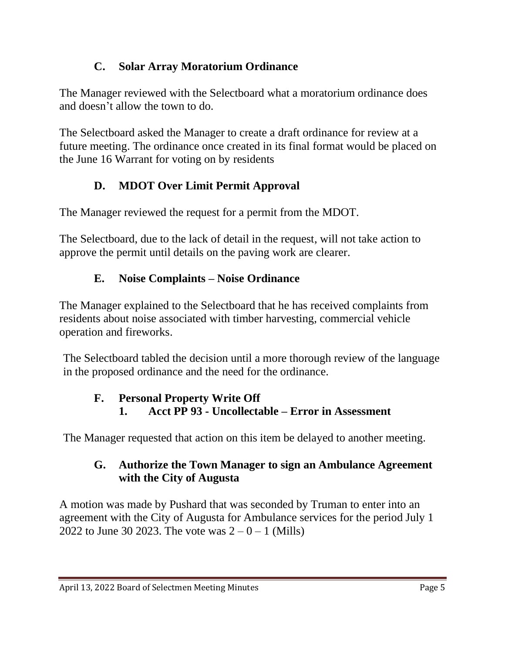# **C. Solar Array Moratorium Ordinance**

The Manager reviewed with the Selectboard what a moratorium ordinance does and doesn't allow the town to do.

The Selectboard asked the Manager to create a draft ordinance for review at a future meeting. The ordinance once created in its final format would be placed on the June 16 Warrant for voting on by residents

# **D. MDOT Over Limit Permit Approval**

The Manager reviewed the request for a permit from the MDOT.

The Selectboard, due to the lack of detail in the request, will not take action to approve the permit until details on the paving work are clearer.

# **E. Noise Complaints – Noise Ordinance**

The Manager explained to the Selectboard that he has received complaints from residents about noise associated with timber harvesting, commercial vehicle operation and fireworks.

The Selectboard tabled the decision until a more thorough review of the language in the proposed ordinance and the need for the ordinance.

#### **F. Personal Property Write Off 1. Acct PP 93 - Uncollectable – Error in Assessment**

The Manager requested that action on this item be delayed to another meeting.

# **G. Authorize the Town Manager to sign an Ambulance Agreement with the City of Augusta**

A motion was made by Pushard that was seconded by Truman to enter into an agreement with the City of Augusta for Ambulance services for the period July 1 2022 to June 30 2023. The vote was  $2 - 0 - 1$  (Mills)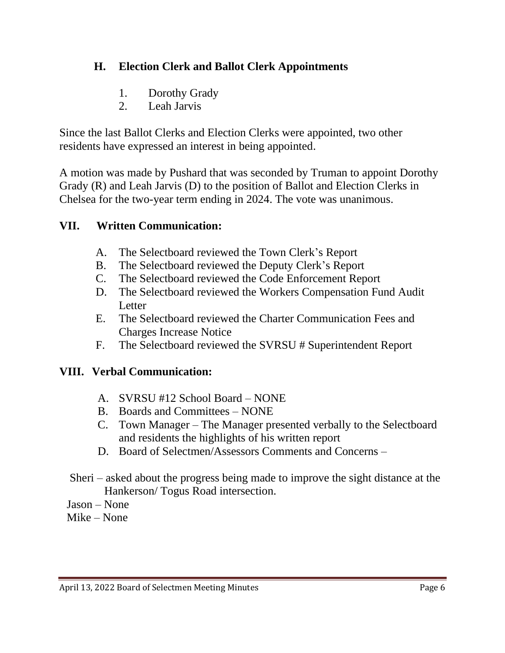# **H. Election Clerk and Ballot Clerk Appointments**

- 1. Dorothy Grady
- 2. Leah Jarvis

Since the last Ballot Clerks and Election Clerks were appointed, two other residents have expressed an interest in being appointed.

A motion was made by Pushard that was seconded by Truman to appoint Dorothy Grady (R) and Leah Jarvis (D) to the position of Ballot and Election Clerks in Chelsea for the two-year term ending in 2024. The vote was unanimous.

# **VII. Written Communication:**

- A. The Selectboard reviewed the Town Clerk's Report
- B. The Selectboard reviewed the Deputy Clerk's Report
- C. The Selectboard reviewed the Code Enforcement Report
- D. The Selectboard reviewed the Workers Compensation Fund Audit **Letter**
- E. The Selectboard reviewed the Charter Communication Fees and Charges Increase Notice
- F. The Selectboard reviewed the SVRSU # Superintendent Report

# **VIII. Verbal Communication:**

- A. SVRSU #12 School Board NONE
- B. Boards and Committees NONE
- C. Town Manager The Manager presented verbally to the Selectboard and residents the highlights of his written report
- D. Board of Selectmen/Assessors Comments and Concerns –
- Sheri asked about the progress being made to improve the sight distance at the Hankerson/ Togus Road intersection.
- Jason None
- Mike None